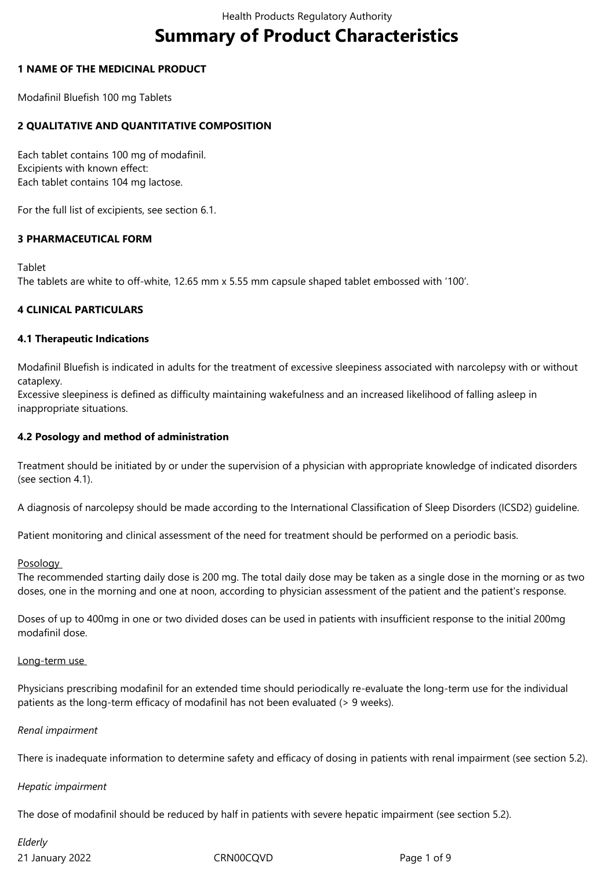# **Summary of Product Characteristics**

## **1 NAME OF THE MEDICINAL PRODUCT**

Modafinil Bluefish 100 mg Tablets

## **2 QUALITATIVE AND QUANTITATIVE COMPOSITION**

Each tablet contains 100 mg of modafinil. Excipients with known effect: Each tablet contains 104 mg lactose.

For the full list of excipients, see section 6.1.

## **3 PHARMACEUTICAL FORM**

#### Tablet

The tablets are white to off-white, 12.65 mm x 5.55 mm capsule shaped tablet embossed with '100'.

## **4 CLINICAL PARTICULARS**

#### **4.1 Therapeutic Indications**

Modafinil Bluefish is indicated in adults for the treatment of excessive sleepiness associated with narcolepsy with or without cataplexy.

Excessive sleepiness is defined as difficulty maintaining wakefulness and an increased likelihood of falling asleep in inappropriate situations.

## **4.2 Posology and method of administration**

Treatment should be initiated by or under the supervision of a physician with appropriate knowledge of indicated disorders (see section 4.1).

A diagnosis of narcolepsy should be made according to the International Classification of Sleep Disorders (ICSD2) guideline.

Patient monitoring and clinical assessment of the need for treatment should be performed on a periodic basis.

#### **Posology**

The recommended starting daily dose is 200 mg. The total daily dose may be taken as a single dose in the morning or as two doses, one in the morning and one at noon, according to physician assessment of the patient and the patient's response.

Doses of up to 400mg in one or two divided doses can be used in patients with insufficient response to the initial 200mg modafinil dose.

#### Long-term use

Physicians prescribing modafinil for an extended time should periodically re-evaluate the long-term use for the individual patients as the long-term efficacy of modafinil has not been evaluated (> 9 weeks).

#### *Renal impairment*

There is inadequate information to determine safety and efficacy of dosing in patients with renal impairment (see section 5.2).

#### *Hepatic impairment*

The dose of modafinil should be reduced by half in patients with severe hepatic impairment (see section 5.2).

21 January 2022 CRN00CQVD Page 1 of 9 *Elderly*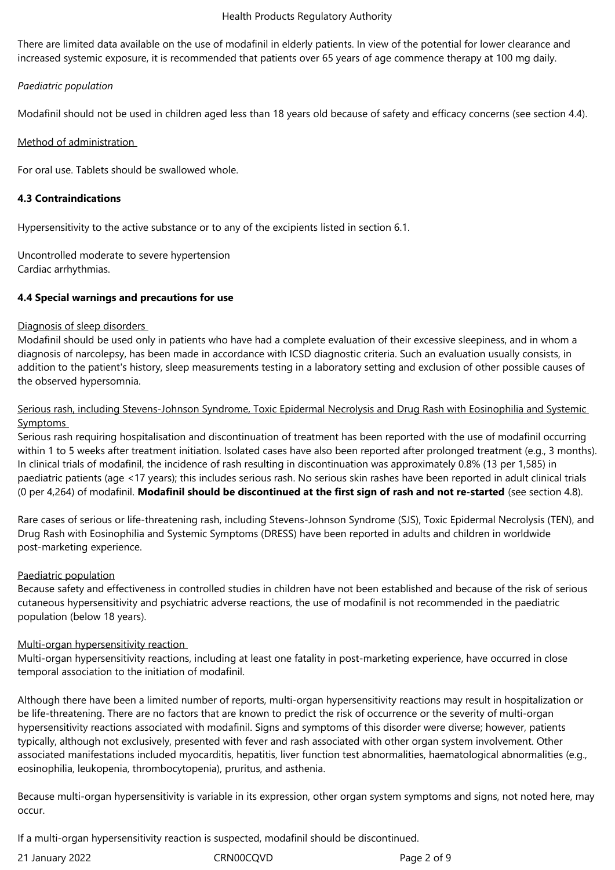#### Health Products Regulatory Authority

There are limited data available on the use of modafinil in elderly patients. In view of the potential for lower clearance and increased systemic exposure, it is recommended that patients over 65 years of age commence therapy at 100 mg daily.

## *Paediatric population*

Modafinil should not be used in children aged less than 18 years old because of safety and efficacy concerns (see section 4.4).

## Method of administration

For oral use. Tablets should be swallowed whole.

## **4.3 Contraindications**

Hypersensitivity to the active substance or to any of the excipients listed in section 6.1.

Uncontrolled moderate to severe hypertension Cardiac arrhythmias.

## **4.4 Special warnings and precautions for use**

## Diagnosis of sleep disorders

Modafinil should be used only in patients who have had a complete evaluation of their excessive sleepiness, and in whom a diagnosis of narcolepsy, has been made in accordance with ICSD diagnostic criteria. Such an evaluation usually consists, in addition to the patient's history, sleep measurements testing in a laboratory setting and exclusion of other possible causes of the observed hypersomnia.

## Serious rash, including Stevens-Johnson Syndrome, Toxic Epidermal Necrolysis and Drug Rash with Eosinophilia and Systemic Symptoms

Serious rash requiring hospitalisation and discontinuation of treatment has been reported with the use of modafinil occurring within 1 to 5 weeks after treatment initiation. Isolated cases have also been reported after prolonged treatment (e.g., 3 months). In clinical trials of modafinil, the incidence of rash resulting in discontinuation was approximately 0.8% (13 per 1,585) in paediatric patients (age <17 years); this includes serious rash. No serious skin rashes have been reported in adult clinical trials (0 per 4,264) of modafinil. **Modafinil should be discontinued at the first sign of rash and not re-started** (see section 4.8).

Rare cases of serious or life-threatening rash, including Stevens-Johnson Syndrome (SJS), Toxic Epidermal Necrolysis (TEN), and Drug Rash with Eosinophilia and Systemic Symptoms (DRESS) have been reported in adults and children in worldwide post-marketing experience.

## Paediatric population

Because safety and effectiveness in controlled studies in children have not been established and because of the risk of serious cutaneous hypersensitivity and psychiatric adverse reactions, the use of modafinil is not recommended in the paediatric population (below 18 years).

## Multi-organ hypersensitivity reaction

Multi-organ hypersensitivity reactions, including at least one fatality in post-marketing experience, have occurred in close temporal association to the initiation of modafinil.

Although there have been a limited number of reports, multi-organ hypersensitivity reactions may result in hospitalization or be life-threatening. There are no factors that are known to predict the risk of occurrence or the severity of multi-organ hypersensitivity reactions associated with modafinil. Signs and symptoms of this disorder were diverse; however, patients typically, although not exclusively, presented with fever and rash associated with other organ system involvement. Other associated manifestations included myocarditis, hepatitis, liver function test abnormalities, haematological abnormalities (e.g., eosinophilia, leukopenia, thrombocytopenia), pruritus, and asthenia.

Because multi-organ hypersensitivity is variable in its expression, other organ system symptoms and signs, not noted here, may occur.

If a multi-organ hypersensitivity reaction is suspected, modafinil should be discontinued.

21 January 2022 CRN00CQVD Page 2 of 9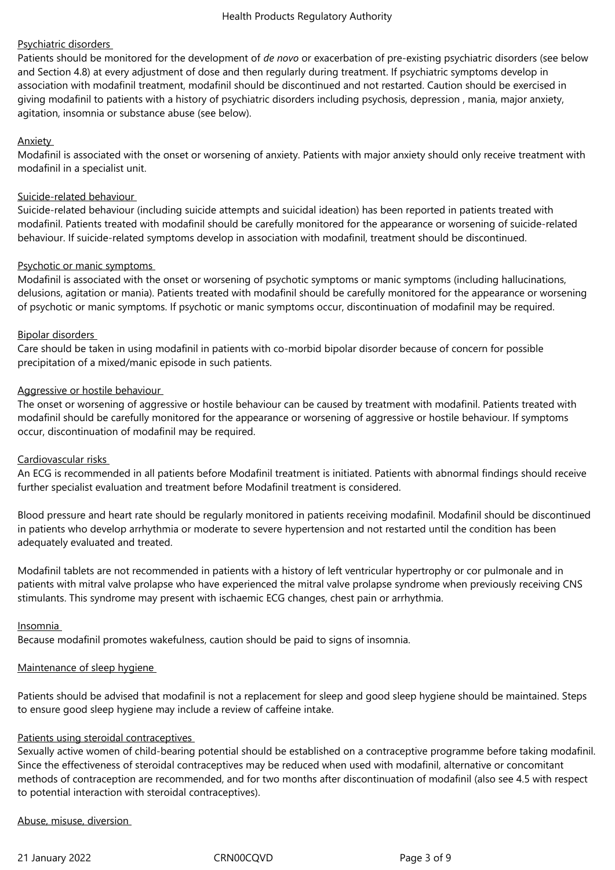## Psychiatric disorders

Patients should be monitored for the development of *de novo* or exacerbation of pre-existing psychiatric disorders (see below and Section 4.8) at every adjustment of dose and then regularly during treatment. If psychiatric symptoms develop in association with modafinil treatment, modafinil should be discontinued and not restarted. Caution should be exercised in giving modafinil to patients with a history of psychiatric disorders including psychosis, depression , mania, major anxiety, agitation, insomnia or substance abuse (see below).

## **Anxiety**

Modafinil is associated with the onset or worsening of anxiety. Patients with major anxiety should only receive treatment with modafinil in a specialist unit.

## Suicide-related behaviour

Suicide-related behaviour (including suicide attempts and suicidal ideation) has been reported in patients treated with modafinil. Patients treated with modafinil should be carefully monitored for the appearance or worsening of suicide-related behaviour. If suicide-related symptoms develop in association with modafinil, treatment should be discontinued.

## Psychotic or manic symptoms

Modafinil is associated with the onset or worsening of psychotic symptoms or manic symptoms (including hallucinations, delusions, agitation or mania). Patients treated with modafinil should be carefully monitored for the appearance or worsening of psychotic or manic symptoms. If psychotic or manic symptoms occur, discontinuation of modafinil may be required.

#### Bipolar disorders

Care should be taken in using modafinil in patients with co-morbid bipolar disorder because of concern for possible precipitation of a mixed/manic episode in such patients.

#### Aggressive or hostile behaviour

The onset or worsening of aggressive or hostile behaviour can be caused by treatment with modafinil. Patients treated with modafinil should be carefully monitored for the appearance or worsening of aggressive or hostile behaviour. If symptoms occur, discontinuation of modafinil may be required.

#### Cardiovascular risks

An ECG is recommended in all patients before Modafinil treatment is initiated. Patients with abnormal findings should receive further specialist evaluation and treatment before Modafinil treatment is considered.

Blood pressure and heart rate should be regularly monitored in patients receiving modafinil. Modafinil should be discontinued in patients who develop arrhythmia or moderate to severe hypertension and not restarted until the condition has been adequately evaluated and treated.

Modafinil tablets are not recommended in patients with a history of left ventricular hypertrophy or cor pulmonale and in patients with mitral valve prolapse who have experienced the mitral valve prolapse syndrome when previously receiving CNS stimulants. This syndrome may present with ischaemic ECG changes, chest pain or arrhythmia.

#### Insomnia

Because modafinil promotes wakefulness, caution should be paid to signs of insomnia.

## Maintenance of sleep hygiene

Patients should be advised that modafinil is not a replacement for sleep and good sleep hygiene should be maintained. Steps to ensure good sleep hygiene may include a review of caffeine intake.

## Patients using steroidal contraceptives

Sexually active women of child-bearing potential should be established on a contraceptive programme before taking modafinil. Since the effectiveness of steroidal contraceptives may be reduced when used with modafinil, alternative or concomitant methods of contraception are recommended, and for two months after discontinuation of modafinil (also see 4.5 with respect to potential interaction with steroidal contraceptives).

#### Abuse, misuse, diversion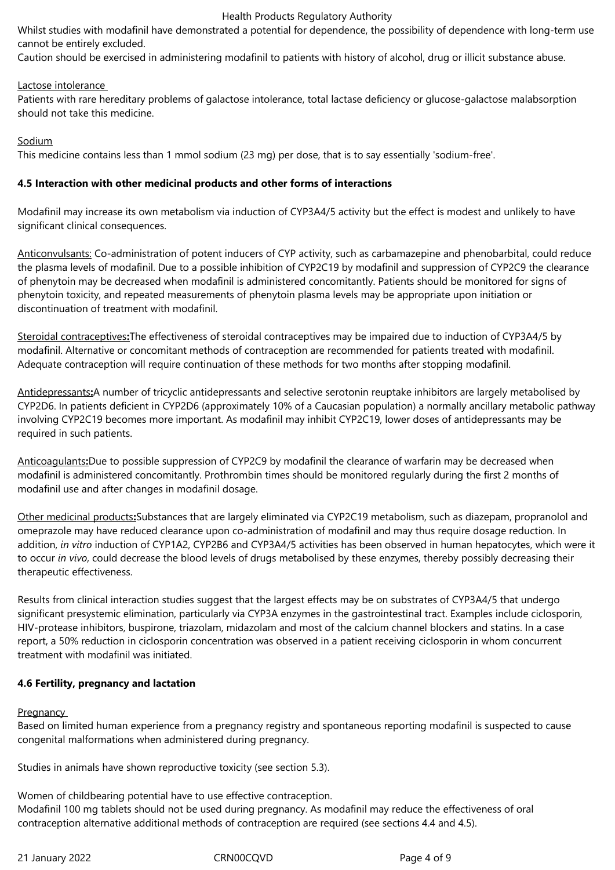#### Health Products Regulatory Authority

Whilst studies with modafinil have demonstrated a potential for dependence, the possibility of dependence with long-term use cannot be entirely excluded.

Caution should be exercised in administering modafinil to patients with history of alcohol, drug or illicit substance abuse.

## Lactose intolerance

Patients with rare hereditary problems of galactose intolerance, total lactase deficiency or glucose-galactose malabsorption should not take this medicine.

#### Sodium

This medicine contains less than 1 mmol sodium (23 mg) per dose, that is to say essentially 'sodium-free'.

## **4.5 Interaction with other medicinal products and other forms of interactions**

Modafinil may increase its own metabolism via induction of CYP3A4/5 activity but the effect is modest and unlikely to have significant clinical consequences.

Anticonvulsants: Co-administration of potent inducers of CYP activity, such as carbamazepine and phenobarbital, could reduce the plasma levels of modafinil. Due to a possible inhibition of CYP2C19 by modafinil and suppression of CYP2C9 the clearance of phenytoin may be decreased when modafinil is administered concomitantly. Patients should be monitored for signs of phenytoin toxicity, and repeated measurements of phenytoin plasma levels may be appropriate upon initiation or discontinuation of treatment with modafinil.

Steroidal contraceptives**:**The effectiveness of steroidal contraceptives may be impaired due to induction of CYP3A4/5 by modafinil. Alternative or concomitant methods of contraception are recommended for patients treated with modafinil. Adequate contraception will require continuation of these methods for two months after stopping modafinil.

Antidepressants**:**A number of tricyclic antidepressants and selective serotonin reuptake inhibitors are largely metabolised by CYP2D6. In patients deficient in CYP2D6 (approximately 10% of a Caucasian population) a normally ancillary metabolic pathway involving CYP2C19 becomes more important. As modafinil may inhibit CYP2C19, lower doses of antidepressants may be required in such patients.

Anticoagulants**:**Due to possible suppression of CYP2C9 by modafinil the clearance of warfarin may be decreased when modafinil is administered concomitantly. Prothrombin times should be monitored regularly during the first 2 months of modafinil use and after changes in modafinil dosage.

Other medicinal products**:**Substances that are largely eliminated via CYP2C19 metabolism, such as diazepam, propranolol and omeprazole may have reduced clearance upon co-administration of modafinil and may thus require dosage reduction. In addition, *in vitro* induction of CYP1A2, CYP2B6 and CYP3A4/5 activities has been observed in human hepatocytes, which were it to occur *in vivo*, could decrease the blood levels of drugs metabolised by these enzymes, thereby possibly decreasing their therapeutic effectiveness.

Results from clinical interaction studies suggest that the largest effects may be on substrates of CYP3A4/5 that undergo significant presystemic elimination, particularly via CYP3A enzymes in the gastrointestinal tract. Examples include ciclosporin, HIV-protease inhibitors, buspirone, triazolam, midazolam and most of the calcium channel blockers and statins. In a case report, a 50% reduction in ciclosporin concentration was observed in a patient receiving ciclosporin in whom concurrent treatment with modafinil was initiated.

## **4.6 Fertility, pregnancy and lactation**

#### Pregnancy

Based on limited human experience from a pregnancy registry and spontaneous reporting modafinil is suspected to cause congenital malformations when administered during pregnancy.

Studies in animals have shown reproductive toxicity (see section 5.3).

Women of childbearing potential have to use effective contraception. Modafinil 100 mg tablets should not be used during pregnancy. As modafinil may reduce the effectiveness of oral contraception alternative additional methods of contraception are required (see sections 4.4 and 4.5).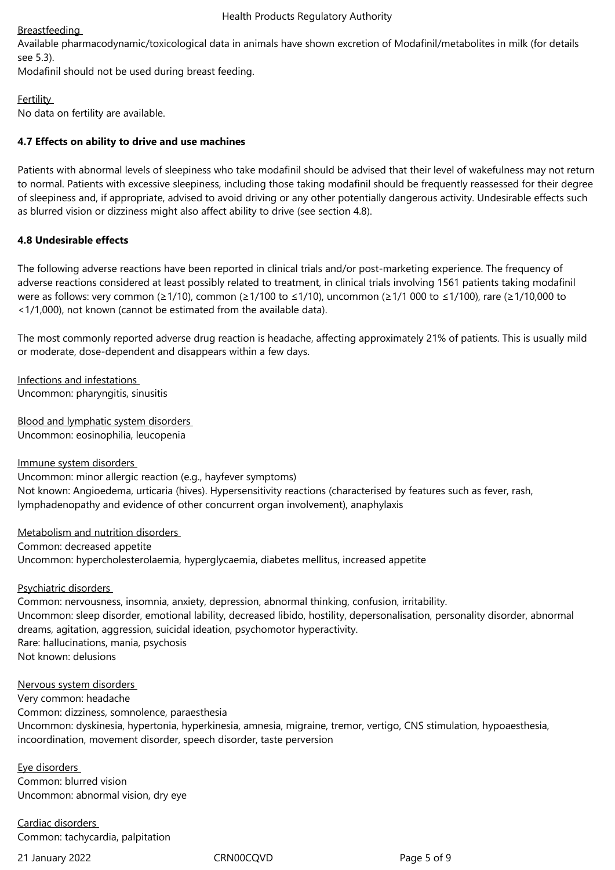## Breastfeeding

Available pharmacodynamic/toxicological data in animals have shown excretion of Modafinil/metabolites in milk (for details see 5.3).

Modafinil should not be used during breast feeding.

**Fertility** 

No data on fertility are available.

## **4.7 Effects on ability to drive and use machines**

Patients with abnormal levels of sleepiness who take modafinil should be advised that their level of wakefulness may not return to normal. Patients with excessive sleepiness, including those taking modafinil should be frequently reassessed for their degree of sleepiness and, if appropriate, advised to avoid driving or any other potentially dangerous activity. Undesirable effects such as blurred vision or dizziness might also affect ability to drive (see section 4.8).

## **4.8 Undesirable effects**

The following adverse reactions have been reported in clinical trials and/or post-marketing experience. The frequency of adverse reactions considered at least possibly related to treatment, in clinical trials involving 1561 patients taking modafinil were as follows: very common (≥1/10), common (≥1/100 to ≤1/10), uncommon (≥1/1 000 to ≤1/100), rare (≥1/10,000 to <1/1,000), not known (cannot be estimated from the available data).

The most commonly reported adverse drug reaction is headache, affecting approximately 21% of patients. This is usually mild or moderate, dose-dependent and disappears within a few days.

Infections and infestations Uncommon: pharyngitis, sinusitis

Blood and lymphatic system disorders Uncommon: eosinophilia, leucopenia

Immune system disorders Uncommon: minor allergic reaction (e.g., hayfever symptoms) Not known: Angioedema, urticaria (hives). Hypersensitivity reactions (characterised by features such as fever, rash, lymphadenopathy and evidence of other concurrent organ involvement), anaphylaxis

Metabolism and nutrition disorders Common: decreased appetite Uncommon: hypercholesterolaemia, hyperglycaemia, diabetes mellitus, increased appetite

## Psychiatric disorders

Common: nervousness, insomnia, anxiety, depression, abnormal thinking, confusion, irritability. Uncommon: sleep disorder, emotional lability, decreased libido, hostility, depersonalisation, personality disorder, abnormal dreams, agitation, aggression, suicidal ideation, psychomotor hyperactivity. Rare: hallucinations, mania, psychosis Not known: delusions

#### Nervous system disorders

Very common: headache Common: dizziness, somnolence, paraesthesia Uncommon: dyskinesia, hypertonia, hyperkinesia, amnesia, migraine, tremor, vertigo, CNS stimulation, hypoaesthesia, incoordination, movement disorder, speech disorder, taste perversion

Eye disorders Common: blurred vision Uncommon: abnormal vision, dry eye

Cardiac disorders Common: tachycardia, palpitation

21 January 2022 CRN00CQVD Page 5 of 9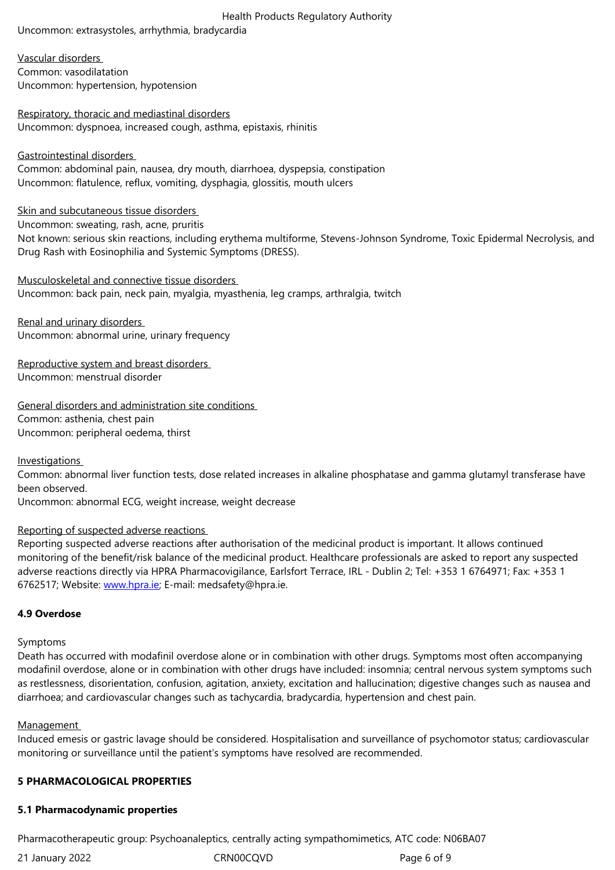Vascular disorders Common: vasodilatation Uncommon: hypertension, hypotension

Respiratory, thoracic and mediastinal disorders Uncommon: dyspnoea, increased cough, asthma, epistaxis, rhinitis

## Gastrointestinal disorders

Common: abdominal pain, nausea, dry mouth, diarrhoea, dyspepsia, constipation Uncommon: flatulence, reflux, vomiting, dysphagia, glossitis, mouth ulcers

Skin and subcutaneous tissue disorders

Uncommon: sweating, rash, acne, pruritis

Not known: serious skin reactions, including erythema multiforme, Stevens-Johnson Syndrome, Toxic Epidermal Necrolysis, and Drug Rash with Eosinophilia and Systemic Symptoms (DRESS).

Musculoskeletal and connective tissue disorders Uncommon: back pain, neck pain, myalgia, myasthenia, leg cramps, arthralgia, twitch

Renal and urinary disorders Uncommon: abnormal urine, urinary frequency

Reproductive system and breast disorders Uncommon: menstrual disorder

General disorders and administration site conditions Common: asthenia, chest pain Uncommon: peripheral oedema, thirst

**Investigations** 

Common: abnormal liver function tests, dose related increases in alkaline phosphatase and gamma glutamyl transferase have been observed.

Uncommon: abnormal ECG, weight increase, weight decrease

## Reporting of suspected adverse reactions

Reporting suspected adverse reactions after authorisation of the medicinal product is important. It allows continued monitoring of the benefit/risk balance of the medicinal product. Healthcare professionals are asked to report any suspected adverse reactions directly via HPRA Pharmacovigilance, Earlsfort Terrace, IRL - Dublin 2; Tel: +353 1 6764971; Fax: +353 1 6762517; Website: www.hpra.ie; E-mail: medsafety@hpra.ie.

# **4.9 Overdose**

#### Symptoms

Death has occurred with modafinil overdose alone or in combination with other drugs. Symptoms most often accompanying modafinil overdose, alone or in combination with other drugs have included: insomnia; central nervous system symptoms such as restlessness, disorientation, confusion, agitation, anxiety, excitation and hallucination; digestive changes such as nausea and diarrhoea; and cardiovascular changes such as tachycardia, bradycardia, hypertension and chest pain.

## Management

Induced emesis or gastric lavage should be considered. Hospitalisation and surveillance of psychomotor status; cardiovascular monitoring or surveillance until the patient's symptoms have resolved are recommended.

## **5 PHARMACOLOGICAL PROPERTIES**

## **5.1 Pharmacodynamic properties**

Pharmacotherapeutic group: Psychoanaleptics, centrally acting sympathomimetics, ATC code: N06BA07

21 January 2022 **CRN00CQVD** CRNOOCQVD Page 6 of 9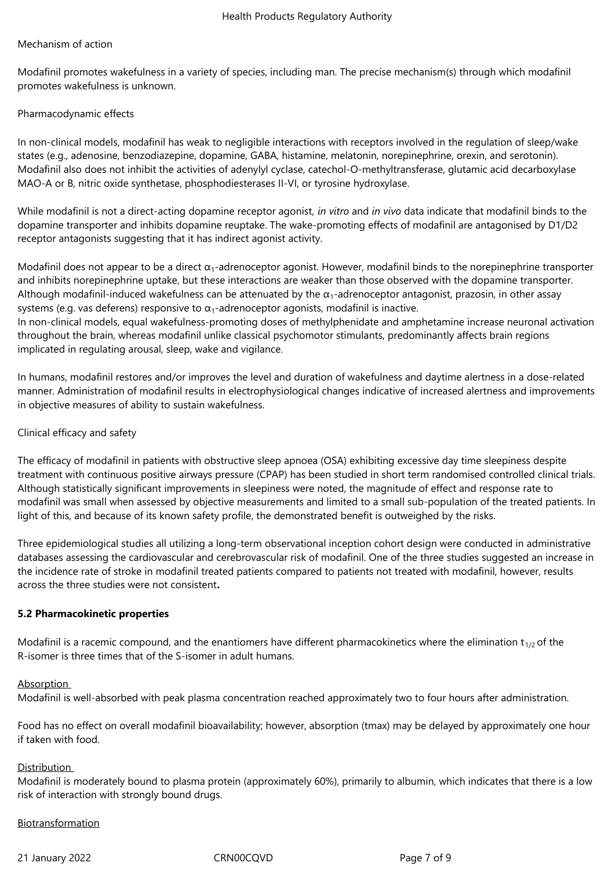#### Mechanism of action

Modafinil promotes wakefulness in a variety of species, including man. The precise mechanism(s) through which modafinil promotes wakefulness is unknown.

#### Pharmacodynamic effects

In non-clinical models, modafinil has weak to negligible interactions with receptors involved in the regulation of sleep/wake states (e.g., adenosine, benzodiazepine, dopamine, GABA, histamine, melatonin, norepinephrine, orexin, and serotonin). Modafinil also does not inhibit the activities of adenylyl cyclase, catechol-O-methyltransferase, glutamic acid decarboxylase MAO-A or B, nitric oxide synthetase, phosphodiesterases II-VI, or tyrosine hydroxylase.

While modafinil is not a direct-acting dopamine receptor agonist, *in vitro* and *in vivo* data indicate that modafinil binds to the dopamine transporter and inhibits dopamine reuptake. The wake-promoting effects of modafinil are antagonised by D1/D2 receptor antagonists suggesting that it has indirect agonist activity.

Modafinil does not appear to be a direct  $\alpha_1$ -adrenoceptor agonist. However, modafinil binds to the norepinephrine transporter and inhibits norepinephrine uptake, but these interactions are weaker than those observed with the dopamine transporter. Although modafinil-induced wakefulness can be attenuated by the  $\alpha_1$ -adrenoceptor antagonist, prazosin, in other assay systems (e.g. vas deferens) responsive to  $\alpha_1$ -adrenoceptor agonists, modafinil is inactive.

In non-clinical models, equal wakefulness-promoting doses of methylphenidate and amphetamine increase neuronal activation throughout the brain, whereas modafinil unlike classical psychomotor stimulants, predominantly affects brain regions implicated in regulating arousal, sleep, wake and vigilance.

In humans, modafinil restores and/or improves the level and duration of wakefulness and daytime alertness in a dose-related manner. Administration of modafinil results in electrophysiological changes indicative of increased alertness and improvements in objective measures of ability to sustain wakefulness.

#### Clinical efficacy and safety

The efficacy of modafinil in patients with obstructive sleep apnoea (OSA) exhibiting excessive day time sleepiness despite treatment with continuous positive airways pressure (CPAP) has been studied in short term randomised controlled clinical trials. Although statistically significant improvements in sleepiness were noted, the magnitude of effect and response rate to modafinil was small when assessed by objective measurements and limited to a small sub-population of the treated patients. In light of this, and because of its known safety profile, the demonstrated benefit is outweighed by the risks.

Three epidemiological studies all utilizing a long-term observational inception cohort design were conducted in administrative databases assessing the cardiovascular and cerebrovascular risk of modafinil. One of the three studies suggested an increase in the incidence rate of stroke in modafinil treated patients compared to patients not treated with modafinil, however, results across the three studies were not consistent**.**

#### **5.2 Pharmacokinetic properties**

Modafinil is a racemic compound, and the enantiomers have different pharmacokinetics where the elimination  $t_{1/2}$  of the R-isomer is three times that of the S-isomer in adult humans.

#### Absorption

Modafinil is well-absorbed with peak plasma concentration reached approximately two to four hours after administration.

Food has no effect on overall modafinil bioavailability; however, absorption (tmax) may be delayed by approximately one hour if taken with food.

#### Distribution

Modafinil is moderately bound to plasma protein (approximately 60%), primarily to albumin, which indicates that there is a low risk of interaction with strongly bound drugs.

#### Biotransformation

21 January 2022 CRN00CQVD Page 7 of 9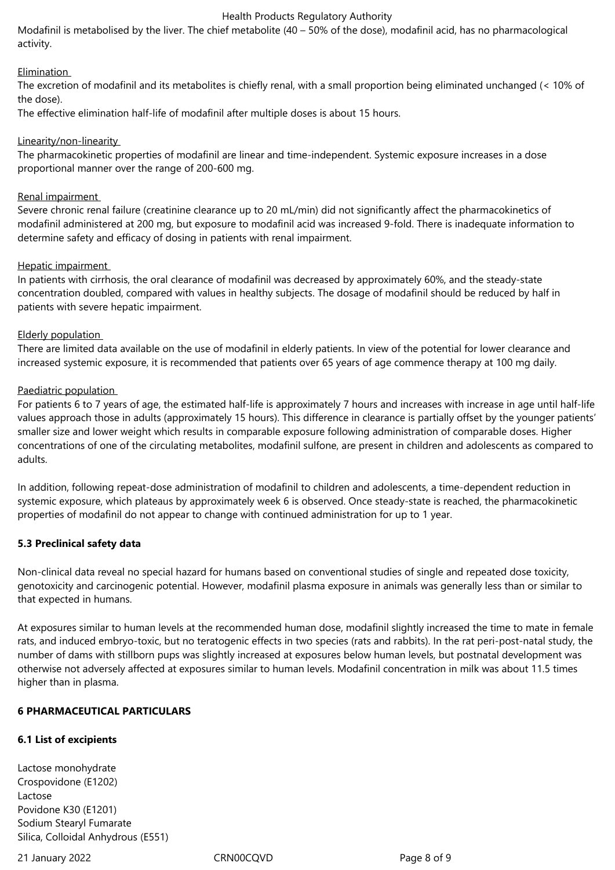#### Health Products Regulatory Authority

Modafinil is metabolised by the liver. The chief metabolite (40 – 50% of the dose), modafinil acid, has no pharmacological activity.

## Elimination

The excretion of modafinil and its metabolites is chiefly renal, with a small proportion being eliminated unchanged (< 10% of the dose).

The effective elimination half-life of modafinil after multiple doses is about 15 hours.

## Linearity/non-linearity

The pharmacokinetic properties of modafinil are linear and time-independent. Systemic exposure increases in a dose proportional manner over the range of 200-600 mg.

## Renal impairment

Severe chronic renal failure (creatinine clearance up to 20 mL/min) did not significantly affect the pharmacokinetics of modafinil administered at 200 mg, but exposure to modafinil acid was increased 9-fold. There is inadequate information to determine safety and efficacy of dosing in patients with renal impairment.

## Hepatic impairment

In patients with cirrhosis, the oral clearance of modafinil was decreased by approximately 60%, and the steady-state concentration doubled, compared with values in healthy subjects. The dosage of modafinil should be reduced by half in patients with severe hepatic impairment.

## Elderly population

There are limited data available on the use of modafinil in elderly patients. In view of the potential for lower clearance and increased systemic exposure, it is recommended that patients over 65 years of age commence therapy at 100 mg daily.

## Paediatric population

For patients 6 to 7 years of age, the estimated half-life is approximately 7 hours and increases with increase in age until half-life values approach those in adults (approximately 15 hours). This difference in clearance is partially offset by the younger patients' smaller size and lower weight which results in comparable exposure following administration of comparable doses. Higher concentrations of one of the circulating metabolites, modafinil sulfone, are present in children and adolescents as compared to adults.

In addition, following repeat-dose administration of modafinil to children and adolescents, a time-dependent reduction in systemic exposure, which plateaus by approximately week 6 is observed. Once steady-state is reached, the pharmacokinetic properties of modafinil do not appear to change with continued administration for up to 1 year.

## **5.3 Preclinical safety data**

Non-clinical data reveal no special hazard for humans based on conventional studies of single and repeated dose toxicity, genotoxicity and carcinogenic potential. However, modafinil plasma exposure in animals was generally less than or similar to that expected in humans.

At exposures similar to human levels at the recommended human dose, modafinil slightly increased the time to mate in female rats, and induced embryo-toxic, but no teratogenic effects in two species (rats and rabbits). In the rat peri-post-natal study, the number of dams with stillborn pups was slightly increased at exposures below human levels, but postnatal development was otherwise not adversely affected at exposures similar to human levels. Modafinil concentration in milk was about 11.5 times higher than in plasma.

#### **6 PHARMACEUTICAL PARTICULARS**

## **6.1 List of excipients**

Lactose monohydrate Crospovidone (E1202) Lactose Povidone K30 (E1201) Sodium Stearyl Fumarate Silica, Colloidal Anhydrous (E551)

21 January 2022 CRN00CQVD Page 8 of 9